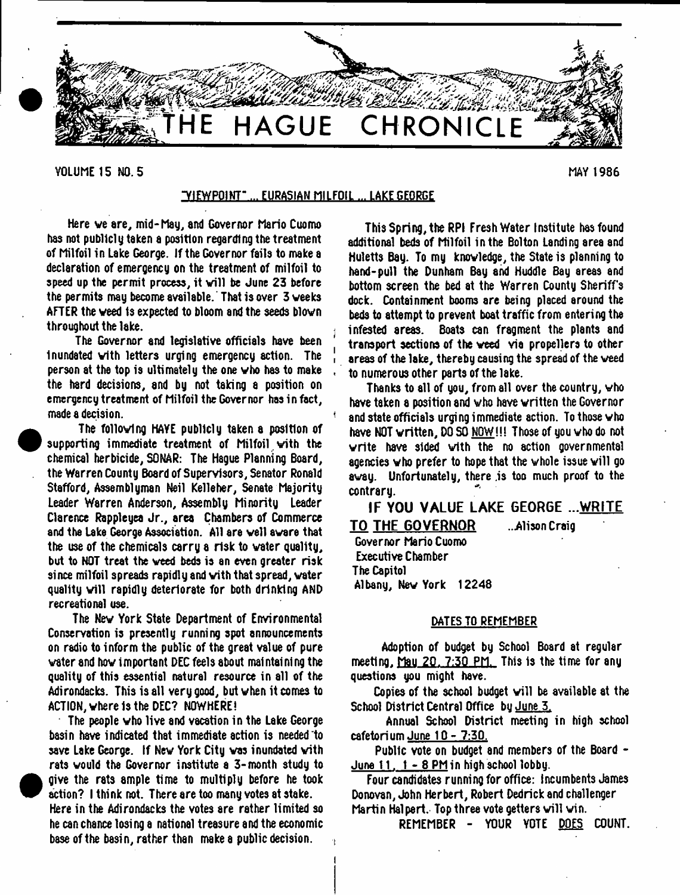

VOLUME 15 NO. 5 MAY 1986

**•** 

<sup>•</sup>

# ^VIEWPOINT" ... EURASIAN MILFOIL ... LAKE GEORGE

Here ve are, mid-May, and Governor Mario Cuomo has not publicly taken a position regarding the treatment of Milfoil in Lake George. If the Governor fails to make a declaration of emergency on the treatment of milfoil to speed up the permit process, it will be June 23 before the permits may become available. That is over 3 weeks AFTER the weed is expected to bloom and the seeds blown throughout the lake.

The Governor and legislative officials have been Inundated with letters urging emergency action. The person at the top is ultimately the one who has to make the h8rd decisions, and by not taking a position on emergency treatment of Milfoil the Governor has in fact, made a decision.

 The following HAYE publicly taken a position of supporting immediate treatment of Milfoil with the chemical herbicide, SONAR: The Hague Planning Board, the Warren County Board of Supervisors, Senator Ronald Stafford, Assemblyman Neil Kelleher, Senate Majority Leader Warren Anderson, Assembly Minority Leader Clarence Rappleyea Jr., area Chambers of Commerce and the Lake George Association. All are well aware that the use of the chemicals carry a risk to water quality, but to NOT treat the weed beds is an even greater risk since milfoil spreads rapidly and with that spread, water quality will rapidly deteriorate for both drinking AND recreational use.

The New York State Department of Environmental Conservation is presently running spot announcements on radio to inform the public of the great value of pure water and how important DEC feels about maintaining the quality of this essential natural resource in all of the Adirondacks. This is all very good, but when it comes to ACTION, where is the DEC? NOWHERE!

The people who live and vacation in the Lake George basin have indicated that immediate action is needed to save Lake George. If New York City was inundated with rats would the Governor institute a 3-month study to give the rats ample time to multiply before he took action? I think not. There are too many votes at stake. Here in the Adirondacks the votes are rather limited so he can chance losi ng a national treasure and the economic base of the basin, rather than make a public decision.

This Spring, the RPI Fresh Water Institute has found additional beds of Milfoil in the Bolton Landing area and Huletts Bay. To my knowledge, the State is planning to hand-pull the Dunham Bay and Huddle Bay areas and bottom screen the bed at the Warren County Sheriff's dock. Containment booms are being placed around the beds to attempt to prevent boat traffic from entering the *\* infested areas. Boats can fragment the plants and transport sections of the weed via propellers to other areas of the lake, thereby causing the spread of the weed to numerous other parts of the lake.

Thanks to all of you, from all over the country, who have taken a position and who have written the Governor and state officials urging immediate action. To those  $\bm{\mathsf{w}}$  ho have NOT written, DO SO NOW!!! Those of you who do not write have sided with the no action governmental agencies who prefer to hope that the whole issue will go away. Unfortunately, there is too much proof to the contrary.

**IF YOU VALUE LAKE GEORGE ...WRITE 1 0 THE GOVERNOR** ..Alison Craig

Governor Mario Cuomo Executive Chamber The Capitol Albany, New York 12248

#### DATES TO REMEMBER

Adoption of budget by School Board at regular meeting, Mau 20. 7:30 PM. This is the time for any questions you might have.

Copies of the school budget will be available at the School District Central Office bu June 5.

Annual School District meeting in high school cafetorium June 10 - 7:30.

Public vote on budget and members of the Board -June  $11.1 - 8$  PM in high school lobby.

Four candidates running for office: Incumbents James Donovan, John Herbert, Robert Dedrick and challenger Martin Halpert. Top three vote getters will win.

REMEMBER - YOUR YOTE DO£S COUNT.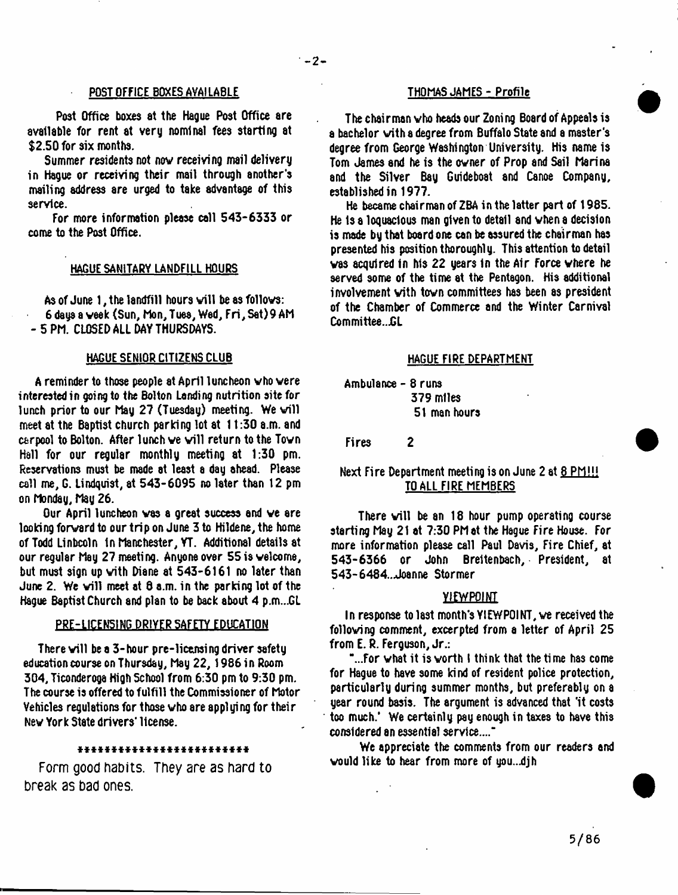#### POST OFFICE BOXES AVAILABLE THOMAS JAMES - Profile

Post Office boxes at the Hague Post Office are available for rent at very nominal fees starting at \$2.50 for six months.

Summer residents not nov receiving mail delivery in Hague or receiving their mail through another's mailing address are urged to take advantage of this service.

For more information please call 543-6333 or come to the Post Office.

#### HAGUE SANITARY LANDFILL HOURS

As of June  $1$ , the landfill hours will be as follows: 6 days a veek (Sun, Mon,Tuea, Wed, Fri,Sat)9AM - 5 PM. CLOSED ALL DAY THURSDAYS.

#### HAGUE SENIOR CITIZENS CLUB

A reminder to those people at April luncheon who were interested in going to the Bolton Landing nutrition site for lunch prior to our May 27 (Tuesday) meeting. We will meet at the Baptist church parking lot at 11:30 a.m. and carpool to Bolton. After lunch we will return to the Town Hall for our regular monthly meeting at 1:30 pm. Reservations must be made at least a day ahead. Please call me, G. Lindquist, at 543-6095 no later than 12 pm on Monday, May 26.

Our April luncheon vas a great success and ve are looking forward to our trip on June 3 to Hildene, the home of Todd Linbcoln In Manchester, YT. Additional details at our regular May 27 meeting. Anyone over 55 is welcome, but must sign up with Diane at 543-6161 no later than June 2. We will meet at  $\theta$  a.m. in the parking lot of the Hague Baptist Church and plan to be back about 4 p.m...GL

#### PRE-LICENSING DRIVER SAFETY EDUCATION

There will be a 3-hour pre-licensing driver safety education course on Thursday, May 22, 1986 in Room 304, Ticonderoga High School from 6:30 pm to 9:30 pm. The course is offered to fulfill the Commissioner of Motor Vehicles regulations for those who are applying for their Nev York State drivers' license.

#### *\*\*\*\*\*\*\*\*\*\*\*\*\*\*\*\*\*\*\*\*\*\*\*\*\**

Form good habits. They are as hard to break as bad ones.

The chairman who heads our Zoning Board of Appeals is a bachelor with a degree from Buffalo State and a master's degree from George Washington University. His name is Tom James and he is the owner of Prop and Sail Marina and the Silver Bay Guideboat and Canoe Company, established in 1977.

He became chairman of ZBA in the latter part of 1985. He Is a loquacious man given to detail and when a decision is made by that board one can be assured the chairman has presented his position thoroughly. This attention to detail vas acquired in his 22 years in the Air Force where he served some of the time at the Pentagon. His additional involvement with town committees has been as president of the Chamber of Commerce and the Winter Carnival Committee...GL

#### HAGUE FIRE DEPARTMENT

Ambulance - 8 runs 379 miles 51 man hours

Fires 2

## Next Fire Department meeting is on June 2 at 8 PM!!! TO ALL FIRE MEMBERS

There will be an  $18$  hour pump operating course starting May 21 at 7:30 PM at the Hague Fire House. For more information please call Paul Davis, Fire Chief, at 543-6366 or John Breltenbach, President, at 543-6484..Joanne Stormer

#### VIEWPOINT

In response to last month's VIEWPOINT, we received the following comment, excerpted from a letter of April 25 from E. R. Ferguson, Jr.:

"...For vhat it is worth I think that the time has come for Hague to have some kind of resident police protection, particularly during summer months, but preferably on a year round basis. The argument is advanced that 'it costs too much.' We certainly pay enough in taxes to have this considered an essential service...."

We appreciate the comments from our readers and would like to hear from more of you..djh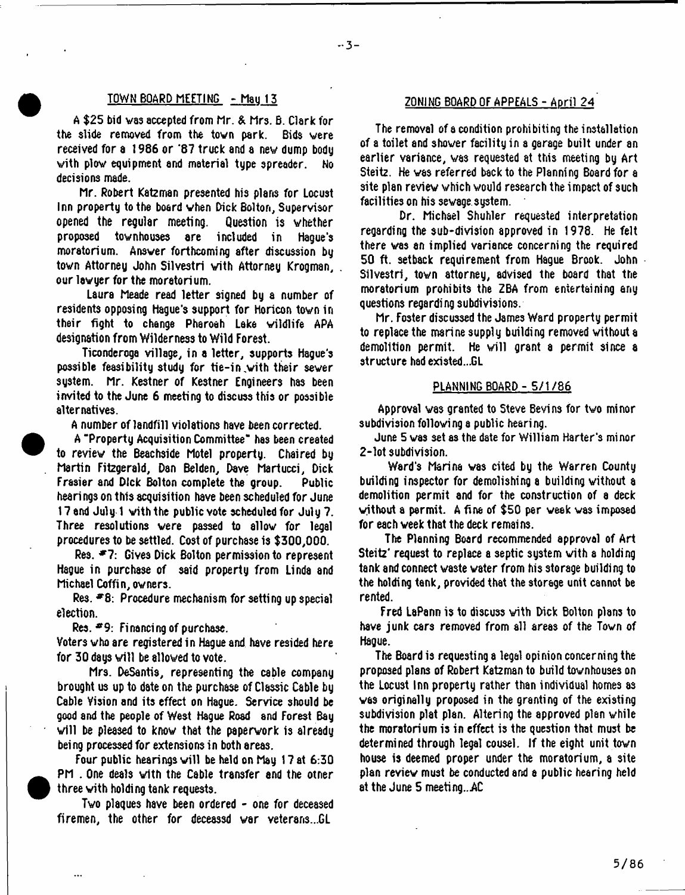#### TOWH BOARD MEETING - Mau 13

A \$25 bid vas accepted from Mr. & Mrs. B. Clark for the slide removed from the town park. Bids were received for a 1986 or \*87 truck and a nev dump body vith plow equipment and material type spreader. No decisions made.

Mr. Robert Kateman presented his plans for Locust Inn property to the board when Dick Bolton, Supervisor opened the regular meeting. Question is whether proposed townhouses are included in Hague's moratorium. Answer forthcoming after discussion by town Attorney John Silvestri with Attorney Krogman, . our lawyer for the moratorium.

Laura Meade read letter signed by a number of residents opposing Hague's support for Horicon town in their fight to change Pharoah Lake wildlife APA designation from Wilderness to Wild Forest.

Ticonderoga village, in a letter, supports Hague's possible feasibility study for tie-in with their sewer system. Mr. Kestner of Kestner Engineers has been invited to the June 6 meeting to discuss this or possible alternatives.

A number of landfill violations have been corrected.

A "Property Acquisition Committee" has been created to review the Beachside Motel property. Chaired by Martin Fitzgerald, Dan Belden, Dave Martucci, Dick Frasier and Dick Bolton complete the group. Public hearings on this acquisition have been scheduled for June 17 and July 1 with the public vote scheduled for July 7. Three resolutions were passed to allow for legal procedures to be settled. Cost of purchase is \$300,000.

Res. \*7: Gives Dick Bolton permission to represent Hague in purchase of said property from Linda and Michael Coffin, owners.

 $Res.$  #8: Procedure mechanism for setting up special election.

Res. \*9: Financing of purchase.

Voters who are registered in Hague and have resided here for 30 days will be allowed to vote.

Mrs. DeSantis, representing the cable company brought us up to date on the purchase of Classic Cable by Cable Vision and its effect on Hague. Service should be good and the people of West Hague Road and Forest Bay will be pleased to know that the paperwork is already being processed for extensions in both areas.

Four public hearings will be held on May 17 at 6:30 PM . One deals with the Cable transfer and the otner three vith holding tank requests.

Two plaques have been ordered - one for deceased firemen, the other for deceassd war veterans...GL

## ZONING BOARD OF APPEALS - April 24

The removal of a condition prohibiting the installation of a toilet and shower facility in a garage built under an earlier variance, was requested at this meeting by Art Steitz. He vas referred back to the Planning Board for a site plan review which would research the impact of such facilities on his sewage system.

Dr. Michael Shuhler requested interpretation regarding the sub-division approved in 1978. He felt there was an implied variance concerning the required 50 ft. setback requirement from Hague Brook. John Silvestri, town attorney, advised the board that the moratorium prohibits the ZBA from entertaining any questions regarding subdivisions.

Mr. Foster discussed the James Ward property permit to replace the marine supply building removed without a demolition permit. He will grant a permit since a structure had existed...GL

#### PLANNING BOARD - 5/1/86

Approval wa3 granted to Steve Bevins for two minor subdivision following a public hearing.

June 5 vas set as the date for William Harter's minor 2-lot subdivision.

Ward's Marina vas cited by ttie Warren County building inspector for demolishing a building without a demolition permit and for the construction of a deck without a permit. A fine of \$50 per week was imposed for each week that the deck remains.

The Planning Board recommended approval of Art Steitz' request to replace a septic system with a holding tank and connect waste water from his storage building to the holding tank, provided that the storage unit cannot be rented.

Fred LaPann is to discuss with Dick Bolton plans to have junk cars removed from all areas of the Town of Hague.

The Board is requesting a legal opinion concerning the proposed plans of Robert Kateman to build townhouses on the Locust Inn property rather than individual homes as was originally proposed in the granting of the existing subdivision plat plan. Altering the approved plan while the moratorium is in effect is the question that must be determined through legal cousel. If the eight unit town house is deemed proper under the moratorium, a site plan review must be conducted and a public hearing held at the June 5 meeting..AC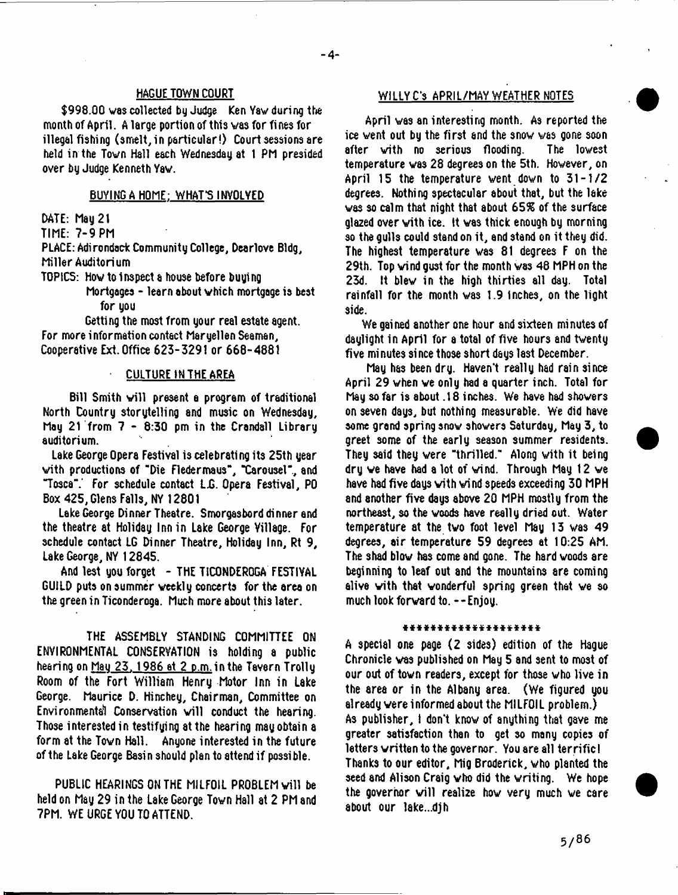#### HAGUE TOWN COURT

\$998.00 was collected by Judge Ken Vaw during the month of April. A large portion of this vas for fines for illegal fishing (smelt, in particular!) Court sessions are held in the Town Hall each Wednesday at 1 PM presided over by Judge Kenneth Yaw.

#### BUYING A HOME: WHAT'S INVOLVED

DATE: Mau 21

TIME: 7-9 PM

PLACE: Adirondack Community College, Dearlove Bldg, Miller Auditorium

TOPICS: How to Inspect a house before buying

Mortgages - learn about which mortgage is best for you

Getting the most from your real estate agent. For more information contact Maryellen Seaman, Cooperative Ext. Office 623-3291 or 668-4881

#### CULTURE IN THE AREA

Bill Smith will present a program of traditional North Country storytelling and music on Wednesday, May 21 from 7 - 8:30 pm in the Crandall Library auditorium.

Lake George Opera Festival is celebrating its 25th year with productions of "Die Fledermaus", "Carousel", and "Tosca".' For schedule contact L.G. Opera Festival, PO Box 425, Glens Falls, NY 12801

Lake George Dinner Theatre. Smorgasbord dinner and the theatre at Holiday Inn in Lake George Village. For schedule contact LG Dinner Theatre, Holiday Inn, Rt 9, Lake George, NY 12845.

And lest you forget - THE TICONDEROGA FESTIVAL GUILD puts on summer weekly concerts for the area on the green in Ticonderoga. Much more about this later.

THE ASSEMBLY STANDING COMMITTEE ON ENVIRONMENTAL CONSERVATION is holding a public hearing on May 23, 1986 at 2 p.m. in the Tavern Trolly Room of the Fort William Henry Motor Inn in Lake George. Maurice D. Hinchey, Chairman, Committee on Environments1 Conservation will conduct the hearing. Those interested in testifying at the hearing may obtain a form at the Town Hall. Anyone interested in the future of the Lake George Basin should plan to attend if possible.

PUBLIC HEARINGS ON THE MILFOIL PROBLEM will be held on May 29 in the Lake George Town Hall at 2 PM and 7PM. WE URGE YOU TO ATTEND.

#### WILLY C'3 APRIL/MAY WEATHER NOTES

April vas an interesting month. As reported the ice went out by the first and the snow was gone soon<br>after with no serious flooding. The lowest after with no serious flooding. temperature vas 28 degrees on the 5th. However, on April 15 the temperature went down to 31-1/2 degrees. Nothing spectacular about that, but the lake was so calm that night that about 65% of the surface glazed over vith ice. It vas thick enough by morning so the gulls could stand on it, and stand on it they did. The highest temperature was 81 degrees F on the 29th. Top wind gust for the month vas 48 MPH on the 23d. It blew in the high thirties all day. Total rainfall for the month vas 1.9 inches, on the light side.

We gained another one hour and sixteen minutes of daylight in April for a total of five hours and twenty five minutes since those short days last December.

May has been dry. Haven't really had rain since April 29 when we only had a quarter inch. Total for May so far is about .18 inches. We have had showers on seven days, but nothing measurable. We did have some grand spring snow showers Saturday, May 3, to greet some of the early season summer residents. They said they were "thrilled." Along with it being dry ve have had a lot of wind. Through May 12 we have had five days with wind speeds exceeding 30 MPH and another five days above 20 MPH mostly from the northeast, so the woods have really dried out. Water temperature at the two foot level May 13 was 49 degrees, air temperature 59 degrees at 10:25 AM. The shad blow has come and gone. The hard woods are beginning to leaf out and the mountains are coming alive with that wonderful spring green that ve so much look forward to. --Enjoy.

#### \*\*\*\*\*\*\*\*\*\*\*\*\*\*\*\*

A special one page (2 sides) edition of the Hague Chronicle vas published on May 5 and sent to most of our out of town readers, except for those who live in the area or in the Albany area. (We figured you already were informed about the MILFOIL problem.)  $\,$ As publisher, I don't know of anything that gave me greater satisfaction than to get so many copies of letters written to the governor. You are all terrific! Thanks to our editor, Mig Broderick, who planted the seed and Alison Craig who did the writing. We hope the governor will realize how very much we care about our lake...djh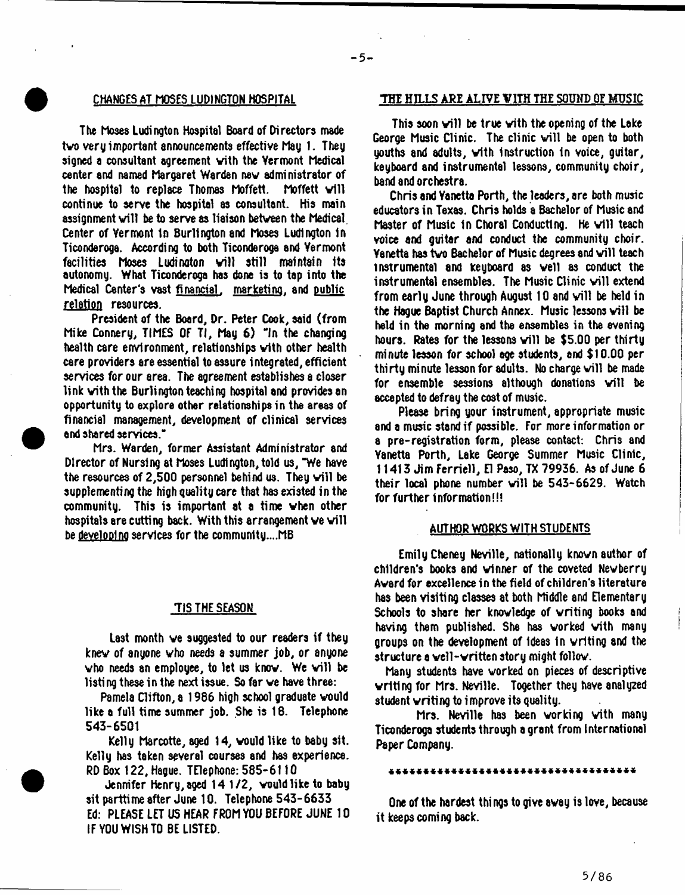The hoses Ludington Hospital Board of Directors made two very important announcements effective May 1. They signed a consultant agreement vith the Vermont Medical center and named Margaret Warden nev administrator of the hospital to replace Thomas Moffett. Moffett will continue to serve the hospital as consultant. His main assignment will be to serve as liaison between the Medical. Center of Vermont In Burlington and Moses Ludington In Ticonderoga. According to both Ticonderoga and Vermont facilities Moses Ludinaton will still maintain its autonomy. What Ticonderoga has done is to tap into the Medical Center's vast financial, marketing, and public relation resources.

President of the Board, Dr. Peter Cook, said (from Mike Connery, TIMES OF TI, May 6) "In the changing health care environment, relationships vith other health care providers are essential to assure integrated, efficient services for our area. The agreement establishes a closer link vith the Burlington teaching hospital and provides an opportunity to explore other relationships in the areas of financial management, development of clinical services and shared services."

Mrs. Warden, former Assistant Administrator and Director of Nursing at Moses Ludington, told us, "We have the resources of  $2,500$  personnel behind us. They will be supplementing the high quality care that has existed in the community. This is important at a time vhen other hospitals are cutting back. With this arrangement we will be <u>developing</u> services for the community....MB

#### 7IS THE SEASON

Last month ve suggested to our readers if they knev of anyone vho needs a summer job, or anyone who needs an employee, to let us know. We will be listing these in the next issue. So far ve have three:

Pamela Clifton, a 1966 high school graduate would like a full time summer job. She is 16. Telephone 543-6501

Kelly Marcotte, aged 14, vould like to baby sit. Kelly has taken several courses and has experience. RD Box 122, Hague. TElephone: 585- 6110

Jennifer Henry, aged 14 1/2, vould like to baby sit parttime after June 10. Telephone 543-6633 Ed: PLEASE LET US HEAR FROM YOU BEFORE JUNE 10 IF YOU WISH TO BE LISTED.

#### CHANGES AT HOSES LUDINGTON HOSPITAL THE HILLS ARE ALIVE VITH THE SOUND OF MUSIC

 $-5 -$ 

This soon will be true with the opening of the Lake George Music Clinic. The clinic will be open to both youths and adults, vith Instruction in voice, guitar, keyboard and instrumental lessons, community choir, band and orchestra.

Chris and Yanetta Forth, the leaders, are both music educators in Texas. Chris holds a Bachelor of Music and Master of Music in Choral Conducting. He will teach voice and guitar and conduct the community choir. Yanetta has two Bachelor of Music degrees and will teach instrumental and Keyboard as veil as conduct the instrumental ensembles. The Music Clinic will extend from early June through August 10 and will be held in the Hague Baptist Church Annex. Music lessons will be held in the morning and the ensembles in the evening hours. Rates for the lessons will be  $$5.00$  per thirty minute lesson for school age students, and \$10.00 per thirty minute lesson for adults. No charge will be made for ensemble sessions although donations will be accepted to defray the cost of music.

Please bring your instrument, appropriate music and a music stand if possible. For more information or a pre-registration form, please contact: Chris and Yanetta Porth, Lake George Summer Music Clinic, 11413 Jim Ferriell, El Paso, TX 79936. As of June 6 their local phone number will be  $543-6629$ . Watch for further information!!!

#### AUTHOR WORKS WITH STUDENTS

Emily Cheney Neville, nationally knovn author of children's books and vlnner of the coveted Nevberry Avard for excellence in the field of children's literature has been visiting classes at both Middle and Elementary Schools to share her knowledge of writing books and having them published. She has worked vith many groups on the development of Ideas In writing and the structure a veil-written story might follov.

Many students have worked on pieces of descriptive writing for Mrs. Neville. Together they have analyzed student vriting to improve its quality.

Mrs. Neville has been working vith many Ticonderoga students through a grant from International Paper Company.

#### \*\*\*\*\*\*\*\*\*\*\*\*\*\*\*\*\*\*\*\*\*\*\*\*\*\*\*\*\*\*\*

One of the hardest things to give avay is love, because it keeps coming back.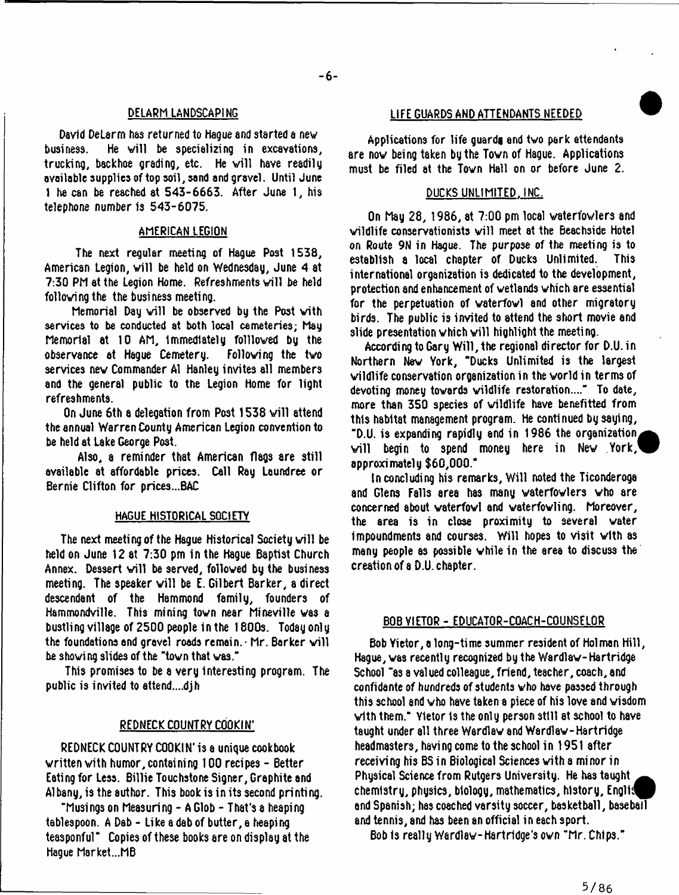#### DELARM LANDSCAPING

David DeLarm has returned to Hague and started a new business. He will be specializing in excavations, trucking, backhoe grading, etc. He will have readily available supplies of top soil, sand and gravel. Until June 1 he can be reached at 543-6663. After June 1, his telephone number is 543-6075.

## AMERICAN LEGION

The next regular meeting of Hague Post 1538, American Legion, will be held on Wednesday, June 4 at 7:30 PM at the Legion Home. Refreshments will be held folloving the the business meeting.

Memorial Day will be observed by the Post with services to be conducted at both local cemeteries; May Memorial at 10 AM, immediately foilloved by the observance at Haque Cemetery. services nev Commander A1 Hanley invites all members and the general public to the Legion Home for light refreshments.

On June 6th a delegation from Post 1538 will attend the annual Warren County American Legion convention to be held at Lake George Post.

Also, a reminder that American flags are still available at affordable prices. Call Ray Laundree or Bernie Clifton for prices...BAC

#### HAGUE HISTORICAL SOCIETY

The next meeting of the Hague Historical Society will be held on June 12 at 7:30 pm in the Hague Baptist Church Annex. Dessert will be served, followed by the business meeting. The speaker will be E. Gilbert Barker, a direct descendant of the Hammond family, founders of Hammondville. This mining tovn near Mineville was a bustling village of 2500 people in the 1800s. Today only the foundations and gravel roads remain.  $\cdot$  Mr. Barker will be shoving slides of the "tovn that vas."

This promises to be a very interesting program. The public is invited to attend....djh

#### REDNECK COUNTRY COOKIN'

REDNECK COUNTRY COOKIN' is a unique cookbook written vith humor, containing 100 recipes - Better Eating for Less. Billie Touchstone Signer, Graphite and Albany, is the author. This book is in its second printing.

"Musingson Measuring - A Glob - That's a heaping tablespoon. A Dab - Like a dab of butter, a heaping teasponful" Copies of these books are on display at the Hague Market...MB

#### L1FE GUARDS AND ATTENDANTS NEEDED

Applications for life guards and two park attendants are nov being taken by the Tovn of Hague. Applications must be filed at the Tovn Hall on or before June 2.

## DUCKS UNLIMITED. INC.

On May 28, 1986, at 7:00 pm local vaterfowlers and wildlife conservationists will meet at the Beachside Hotel on Route 9N in Hague. The purpose of the meeting is to establish a local chapter of Ducks Unlimited. This international organization is dedicated to the development, protection and enhancement of wetlands which are essential for the perpetuation of vaterfovl and other migratory birds. The public is invited to attend the short movie and slide presentation which will highlight the meeting.

According to Gary Will, the regional director for D.U. in Northern Nev York, "Ducks Unlimited is the largest vildlife conservation organization in the vorld in terms of devoting money towards vildlife restoration....\*\* To date, more than 350 species of vildlife have benefitted from this habitat management program. He continued by saying, "D.U. is expanding rapidly and in 1986 the organization, will begin to spend money here in New York, approximately \$60,000."

In concluding his remarks, Will noted the Ticonderoga and Glens Falls area has many vaterfowlers vho are concerned about vaterfovl and vaterfovling. Moreover, the area is in close proximity to several water impoundments and courses. Will hopes to visit vith as many people as possible while in the area to discuss the creation of a D.U. chapter.

#### BOB VIETOR - EDUCATOR-COACH-COUNSELOR

Bob Yietor, a long-time summer resident of Holman Hill, Hague, vas recently recognized by the Wardlaw-Hartridge School "as a valued colleague, friend, teacher, coach, and confidante of hundreds of students vho have passed through this school and vho have taken a piece of his love and wisdom with them." Yietor 1s the only person still at school to have taught under all three Wardlav and Wardlaw-Hartridge headmasters, having come to the school in 1951 after receiving his BS in Biological Sciences vith a minor in Physical Science from Rutgers University. He has taught chemistry, physics, biology, mathematics, history, Engll^p and Spanish; has coached varsity soccer, basketball, baseball and tennis, and has been an official in each sport.

Bob is really Wardlav-Hart ridge's own "Mr. Chips."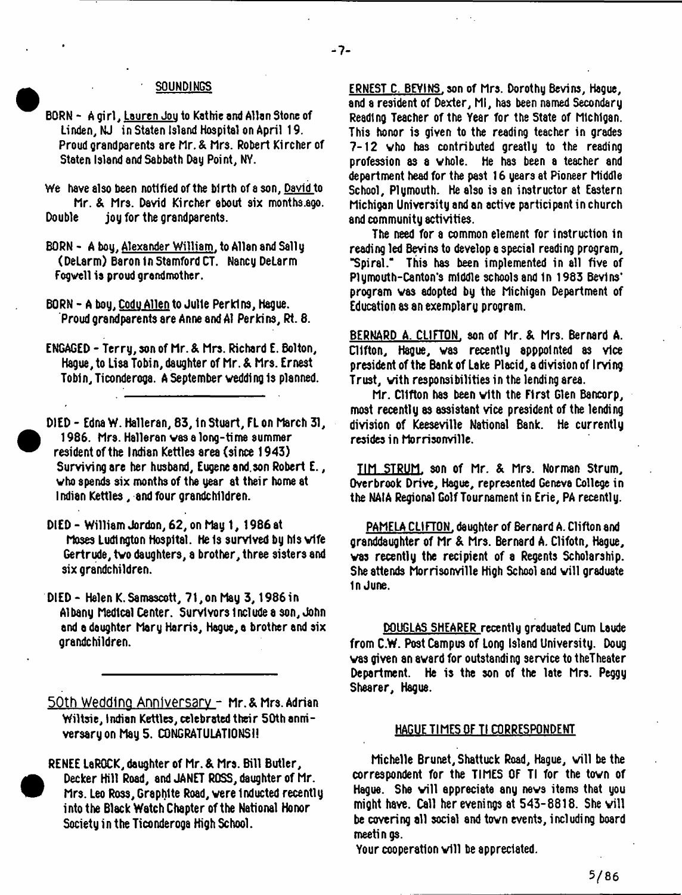# SQUNDINGS

- BORN Aoirl. Lauren Jouto Kathie and Allan Stone of Linden, NJ in Staten Island Hospital on April 19. Proud grandparents are Mr. & Mrs. Robert Kircher of Staten Island and Sabbath Day Point, NY.
- We have also been notified of the birth of a son, David to Mr. & Mrs. David Kircher about six months.ago. Double jou for the grandparents.
- BORN A bou. Alexander William. to Allan and Sail u (DeLarm) Baron In Stamford CT. Nancy DeLarm Fogvell is proud grandmother.
- BORN A bou. Codu Allen to Julie Perkins, Hague. Proud grandparents are Anne and A1 Perkins, Rt. 8.
- ENGAGED Terry, son of hr. & Mrs. Richard E. Bolton, Hague, to Lisa Tobin, daughter of Mr.& Mrs. Ernest Tobin, Ticonderoga. A September wedding is planned.
- DIED Edna W. Halleran, 83, In Stuart, FL on March 31, 1986. Mrs. Halleran vas a long-time summer resident of the Indian Kettles area (since 1943) Surviving are her husband, Eugene and.son Robert E., vho spends six months of the year at their home at Indian Kettles, and four grandchildren.
- DIED William Jordon, 62, on May 1, 1986 at Moses Ludington Hospital. He Is survived by Ms wife Gertrude, two daughters, a brother, three sisters and six grandchildren.
- DIED Helen K.Samascott, 71,on May 3,1986 in Albany Medical Center. Survivors include a son, John and a daughter Mary Harris, Hague, a brother and six grandchildren.

50th Wedding Anniversary - Mr. & Mrs. Adrian Wiltsie, Indian Kettles, celebrated their 50th anniversary on May 5. CONGRATULATIONS!!

RENEE LeROCK, daughter of Mr. & Mrs. Bill Butler, Decker Hill Road, and JANET ROSS, daughter of Mr. Mrs. Leo Ross, Graphite Road, were Inducted recently into the Black Watch Chapter of the National Honor Society in the Ticonderoga High School.

<sup>•</sup>

ERNEST C. BEVINS, son of Mrs. Dorothy Bevins, Hague, and a resident of Dexter, Ml, has been named Secondary Reading Teacher of the Year for the State of Michigan. This honor is given to the reading teacher in grades 7-12 vho has contributed greatly to the reading profession as 8 whole. He has been a teacher and department head for the past 16 years at Pioneer Middle School, Plumouth. He also is an instructor at Eastern Michigan University and an active participant in church and community activities.

The need for a common element for instruction in reading led Bevins to develop a special reading program, "Spiral." This has been implemented in all five of Plymouth-Canton's middle schools and 1n 1983 Bevins' program vas adopted by the Michigan Department of Education as an exemplary program.

BERNARD A. CLIFTON, son of Mr. & Mrs. Bernard A. Clifton, Hague, vas recently apppolnted as vice president of the Bank of Lake Placid, a division of Irving Trust, vith responsibilities in the lending area.

Mr. Clifton has been with the First Glen Bancorp, most recently 8S assistant vice president of the lending division of Keeseville National Bank. He currently resides in Morrisonville.

TIM STRUM, son of Mr. & Mrs. Norman Strum, Overbrook Drive, Hague, represented Geneva College in the NAIA Regional Golf Tournament in Erie, PA recently.

PAMELA CLIFTON, daughter of Bernard A. Clifton and granddaughter of Mr & Mrs. Bernard A. Clifotn, Hague, vas recently the recipient of a Regents Scholarship. She attends Morrisonville High School and will graduate m June.

DOUGLAS SHEARER recentlu graduated Cum Laude from C.W. Post Campus of Long Island University. Doug vas given an award for outstanding service to theTheater Department. He is the son of the late Mrs. Peggy Shearer, Hague.

#### HAGUE TIMES OF Tl CORRESPONDENT

Michelle Brunet, Shattuck Road, Hague, will be the correspondent for the TIMES OF Tl for the tovn of Hague. She will appreciate any news items that you might have. Call her evenings at  $543-8818$ . She will be covering all social and tovn events, including board meetings.

Your cooperation will be appreciated.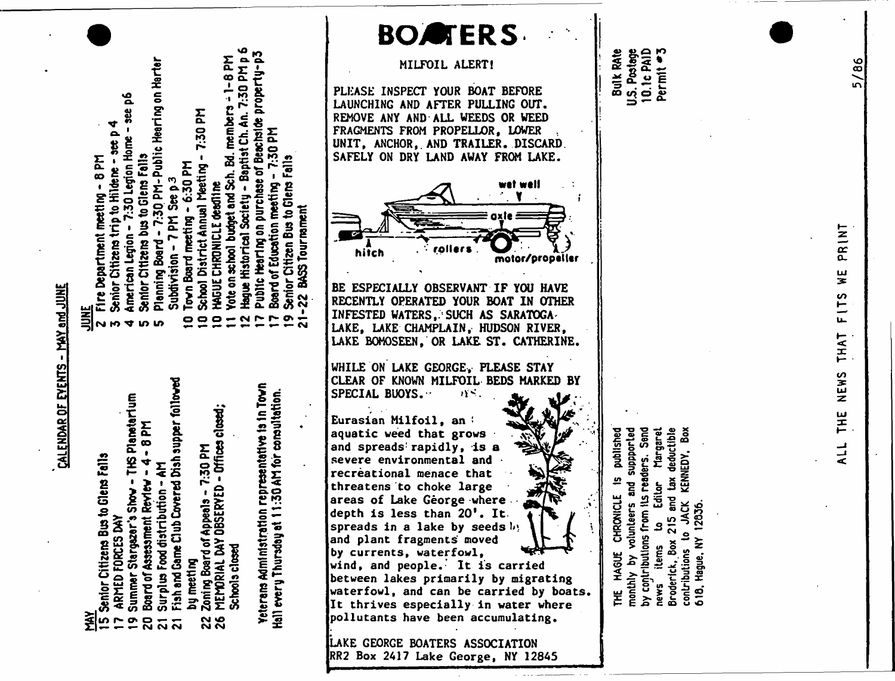|                                                                                                                                                                                                                                                                                                                                                                                                                                                                                                                                                                                                                                                      | <b>BOATERS</b>                                                                                                                                                                                                                                                                                                                                                                                                                                                                                                                                                                                                                               |
|------------------------------------------------------------------------------------------------------------------------------------------------------------------------------------------------------------------------------------------------------------------------------------------------------------------------------------------------------------------------------------------------------------------------------------------------------------------------------------------------------------------------------------------------------------------------------------------------------------------------------------------------------|----------------------------------------------------------------------------------------------------------------------------------------------------------------------------------------------------------------------------------------------------------------------------------------------------------------------------------------------------------------------------------------------------------------------------------------------------------------------------------------------------------------------------------------------------------------------------------------------------------------------------------------------|
|                                                                                                                                                                                                                                                                                                                                                                                                                                                                                                                                                                                                                                                      | MILFOIL ALERT!                                                                                                                                                                                                                                                                                                                                                                                                                                                                                                                                                                                                                               |
| $-1-8$ PM<br>7:30 PM-Public Hearing on Harter<br>Hd 02:<br>propel<br><u>ዿ</u><br>Vote on school budget and Sch. Bd. members<br>$- 366$<br>Hague Historical Society - Baptist Ch. An.<br>7:30 PM<br>Public Hearlng on purchase of Beachside<br>Baard of Education meeting - 7:30 PM<br>ふらの<br>American Legion - 7:30 Legion Home<br>School District Annual Meeting -<br>Senior Citizens bus to Glens Falls<br>$-6:30$ PM<br>Senior Citizen Bus to Glens Fall<br><b>NIBILE DI ALLI BIBILIO LOLLINO</b><br>7 PM See p3<br>Board of Education meeting<br>dead1ne<br>BASS Tour nament<br>Town Board meeting<br><b>HAGUE CHRONICLE</b><br>Planning Board - | PLEASE INSPECT YOUR BOAT BEFORE<br>LAUNCHING AND AFTER PULLING OUT.<br>REMOVE ANY AND ALL WEEDS OR WEED<br>FRAGMENTS FROM PROPELLOR, LOWER<br>UNIT, ANCHOR, AND TRAILER. DISCARD.<br>SAFELY ON DRY LAND AWAY FROM LAKE.                                                                                                                                                                                                                                                                                                                                                                                                                      |
|                                                                                                                                                                                                                                                                                                                                                                                                                                                                                                                                                                                                                                                      | hitch<br>motor/prope                                                                                                                                                                                                                                                                                                                                                                                                                                                                                                                                                                                                                         |
| Subdivision - 7<br>$\mathbf{z}$<br>$-95$<br>$\bullet$<br><b>TU W</b><br>ŋ.                                                                                                                                                                                                                                                                                                                                                                                                                                                                                                                                                                           | BE ESPECIALLY OBSERVANT IF YOU HAVE<br>RECENTLY OPERATED YOUR BOAT IN OTHER<br>INFESTED WATERS, SUCH AS SARATOGA-<br>LAKE, LAKE CHAMPLAIN, HUDSON RIVER,<br>LAKE BOMOSEEN, OR LAKE ST. CATHERINE.                                                                                                                                                                                                                                                                                                                                                                                                                                            |
| Fish and Game Club Covered Dish supper followed<br>representative is in Town<br>:30 AM for consultation.<br>Show - THS Planetarium<br>Zoning Board of Appeals - 7:30 PM<br>MEMRIAL DAY OBSERYED - Difices closed;<br>돈<br>$\bullet$<br>4<br>tion - AM<br><b>Benjew</b><br>Surplus Food distribu<br>Yeterans Administration<br>Board of Assessment<br>Stargezer's<br>ARMED FORCES DAY<br>Hall every Thursday at<br>Schools closed<br>by meeting<br>Summer!<br>28<br>ក្នុងដូ                                                                                                                                                                           | WHILE ON LAKE GEORGE, PLEASE STAY<br>CLEAR OF KNOWN MILFOIL BEDS MARKED BY<br>SPECIAL BUOYS.<br>$\mathbf{Y}$ .<br>Eurasian Milfoil, an<br>aquatic weed that grows<br>and spreads rapidly, is a<br>severe environmental and<br>recreational menace that<br>threatens to choke large<br>areas of Lake George where<br>depth is less than 20'. It.<br>spreads in a lake by seeds by<br>and plant fragments moved<br>by currents, waterfowl,<br>wind, and people. It is carried<br>between lakes primarily by migrating<br>waterfowl, and can be carried by boats.<br>It thrives especially in water where<br>pollutants have been accumulating. |
|                                                                                                                                                                                                                                                                                                                                                                                                                                                                                                                                                                                                                                                      | LAKE GEORGE BOATERS ASSOCIATION<br>RR2 Box 2417 Lake George, NY 12845                                                                                                                                                                                                                                                                                                                                                                                                                                                                                                                                                                        |

 $2.80<sub>^\circ</sub>$ « \*0 ^ % £ £ « E <sup>3</sup>. *.* i- CO in O « -5 — 0-

> > lished<br>iorLed published

 $S$  and  $S$ **garet**<br>Ctible<br>Cox

ri <del>2</del>

X*3*

 $\, \times \,$  o ្ត<br>វី និ

in .1 sat **3 03 A X**

 $\breve{\mathsf{s}}$  s S o

 $\epsilon$  . **Editor** ב<br>5<br>ק *£ 3* itions<br>rec

o " אי<br>מפּא

*in*

**CHRONICLE** 

 $\ddot{\phantom{a}}$ 

<u>in</u>

& ■" £>■**£**

- <u>MY</u>
- -
- 

S  $\Delta$ . s £

ttng - 8<br>to Hilden<br>:30 Legio

£ O.^

**ill** C £ - i

re Depa<br>Shior Ci<br>Derican

 $\frac{21}{2}$ 

- 
- XHED<br>mmer<br>srd of<br>rpl us<br>ch and
- 
- 

**ALL THE NEWS THAT FITS WE P R IN T** $\frac{1}{3}$ FITS THAT THE NEWS  $\frac{1}{2}$ 

PRINT

*\o* CO <u>in</u>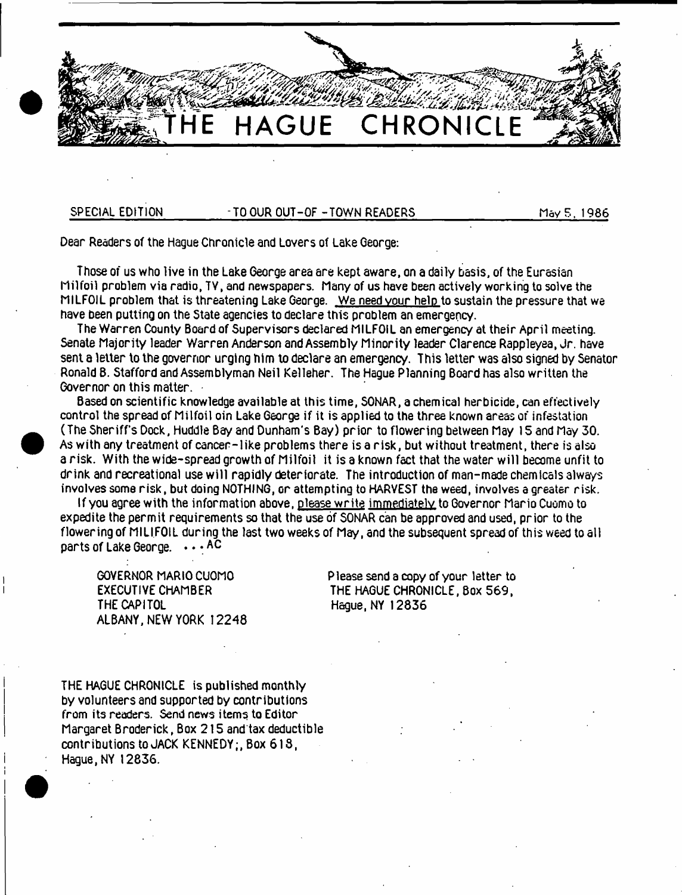

SPECIAL EDITION TO OUR OUT-OF -TOWN READERS May 5, 1986

Dear Readers of the Hague Chronicle and Lovers of Lake George:

Those of us who live in the Lake George area are kept aware, on a daily basis, of the Eurasian Milfoil problem via radio, TV, and newspapers. Many of us have been actively working to solve the MILFOIL problem that is threatening Lake George. We need your help to sustain the pressure that we have been putting on the State agencies to declare this problem an emergency.

The Warren County Board of Supervisors declared MILFOIL an emergency at their April meeting. Senate Majority leader Warren Anderson and Assembly Minority leader Clarence Rappleyea, Jr. have sent a letter to the governor urging him to declare an emergency. This letter was also signed by Senator Ronald B. Stafford and Assemblyman Neil Kelleher. The Hague Planning Board has also written the Governor on this matter.

Based on scientific knowledge available at this time, SONAR, a chemical herbicide, can effectively control the spread of Milfoil oin Lake George if it is applied to the three known areas of infestation (The Sheriff's Dock, Huddle Bay and Dunham's Bay) prior to flowering between May 15 and May 30. As with any treatment of cancer-like problems there is a risk , but without treatment, there is also a risk. With the wide-spread growth of Milfoil it is a known fact that the water will become unfit to drink and recreational use will rapidly deteriorate. The introduction of man-made chemicals always involves some risk , but doing NOTHING, or attempting to HARVEST the weed, involves a greater risk.

If you agree with the information above, olease w rite immediately to Governor Mario Cuomo to expedite the perm it requirements so that the use of SONAR can be approved and used, prior to the flowering of MILIFOIL during the last two weeks of May, and the subsequent spread of this weed to all parts of Lake George. . . . AC

ALBANY, NEW YORK 12248

GOVERNOR MARIO CUOMO<br>EXECUTIVE CHAMBER THE HAGUE CHRONICLE, Box 569, EXECUTIVE CHAMBER THE HAGUE CHRONICLE, Box 569,<br>THE CAPITOL THE CAPITOL Hague, NY 12836

THE HAGUE CHRONICLE is published monthly by volunteers and supported by contributions from its readers. Send news items to Editor Margaret Broderick, Box 2 1 5 and'tax deductible contributions to JACK KENNEDY; Box 618, Hague, NY 12836.